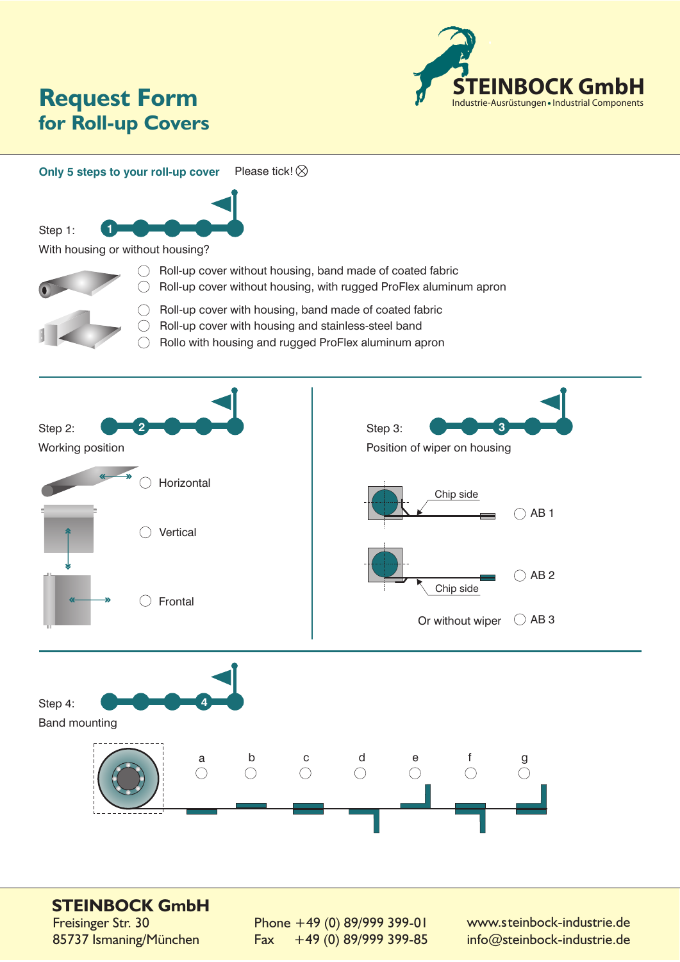

## **for Roll-up Covers Request Form**

**Only 5 steps to your roll-up cover** Please tick!  $\otimes$ 



With housing or without housing?



Step 1:

- $\bigcirc$  Roll-up cover without housing, band made of coated fabric  $\bigcirc$  Roll-up cover without housing, with rugged ProFlex aluminum apron
- $\bigcirc$  Roll-up cover with housing, band made of coated fabric
- $\bigcirc$  Roll-up cover with housing and stainless-steel band
- $\bigcirc$  Rollo with housing and rugged ProFlex aluminum apron



## **STEINBOCK GmbH**

Freisinger Str. 30 85737 Ismaning/München Phone +49 (0) 89/999 399-01 Fax +49 (0) 89/999 399-85 www.steinbock-industrie.de info@steinbock-industrie.de